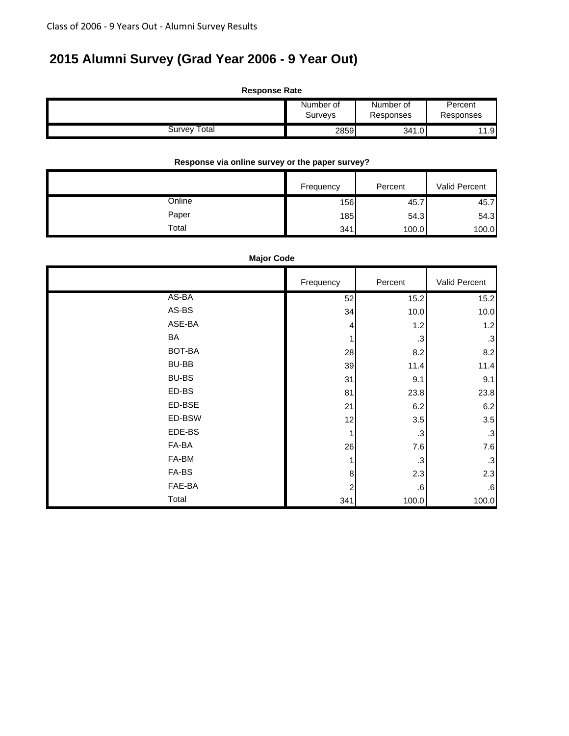# **2015 Alumni Survey (Grad Year 2006 - 9 Year Out)**

| <b>Response Rate</b> |                      |                        |                      |
|----------------------|----------------------|------------------------|----------------------|
|                      | Number of<br>Surveys | Number of<br>Responses | Percent<br>Responses |
| Survey Total         | 2859                 | 341.0                  | 11.9                 |

#### **Response via online survey or the paper survey?**

|        | Frequency | Percent | Valid Percent |
|--------|-----------|---------|---------------|
| Online | 156       | 45.7    | 45.7          |
| Paper  | 185       | 54.3    | 54.3          |
| Total  | 341       | 100.0   | 100.0         |

#### **Major Code**

|              | Frequency | Percent   | Valid Percent |
|--------------|-----------|-----------|---------------|
| AS-BA        | 52        | 15.2      | 15.2          |
| AS-BS        | 34        | 10.0      | 10.0          |
| ASE-BA       | 4         | 1.2       | 1.2           |
| BA           |           | $\cdot$ 3 | .3            |
| BOT-BA       | 28        | 8.2       | 8.2           |
| <b>BU-BB</b> | 39        | 11.4      | 11.4          |
| <b>BU-BS</b> | 31        | 9.1       | 9.1           |
| ED-BS        | 81        | 23.8      | 23.8          |
| ED-BSE       | 21        | 6.2       | 6.2           |
| ED-BSW       | 12        | 3.5       | 3.5           |
| EDE-BS       |           | $\cdot$ 3 | $\cdot$ 3     |
| FA-BA        | 26        | 7.6       | 7.6           |
| FA-BM        |           | $\cdot$ 3 | $\cdot$ 3     |
| FA-BS        | 8         | 2.3       | 2.3           |
| FAE-BA       | 2         | $.6\,$    | .6            |
| Total        | 341       | 100.0     | 100.0         |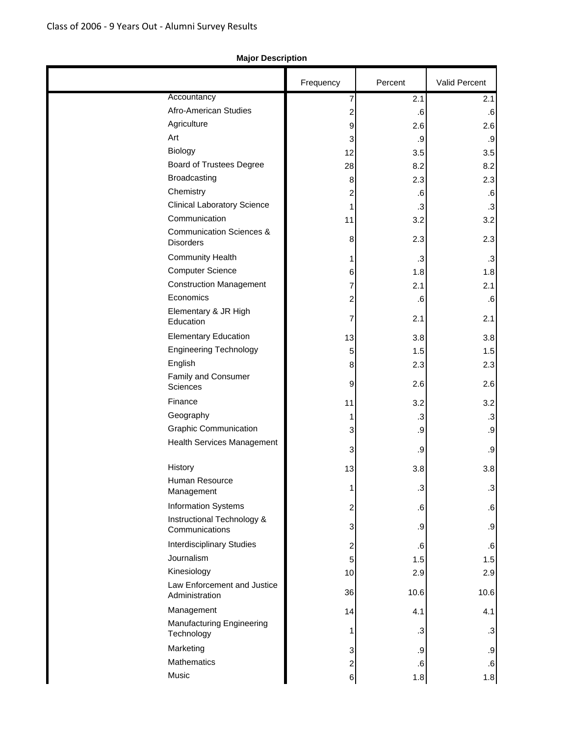### Frequency | Percent | Valid Percent Accountancy 1 2.1 2.1 Afro-American Studies **2** .6 .6 Agriculture 2.6 2.6 Art  $\begin{array}{|c|c|c|c|c|c|}\n\hline\n3 & 3 & 9 & \hline\n\end{array}$ Biology  $12$   $3.5$   $3.5$ Board of Trustees Degree 28 28 8.2 8.2 Broadcasting  $\begin{array}{ccc} 8 & 8 & 2.3 \end{array}$  2.3 Chemistry  $2$  .6 .6 Clinical Laboratory Science 2 .3 .3 .3  $Commonization$   $11$   $3.2$   $3.2$ Communication Sciences & Disorders 2.3 2.3 Community Health  $\begin{array}{|c|c|c|c|c|}\n\hline\n\text{1} & \text{3} & \text{3}\n\end{array}$ Computer Science 1.8 1.8 1.8 Construction Management **7** 2.1 2.1 Economics 2 .6 .6 Elementary & JR High Education  $\begin{array}{|c|c|c|c|c|c|}\n\hline\n\end{array}$   $\begin{array}{|c|c|c|c|}\n\hline\n\end{array}$  7 2.1 2.1 Elementary Education 13 13 3.8 3.8 Engineering Technology **1.5** 1.5 1.5 English  $8$  2.3 2.3 Family and Consumer Sciences 2.6 2.6 Finance  $\begin{array}{|c|c|c|c|c|c|}\n\hline\n\text{11} & \text{3.2} & \text{3.2} \\
\hline\n\end{array}$ Geography 1 .3 .3 Graphic Communication 3 .9 .9 Health Services Management 3 .9 .9 History 13  $\begin{array}{|c|c|c|c|c|}\n\hline\n&\text{ 13} & \text{ 3.8} \\
\hline\n&\text{ 13} & \text{ 3.8} \\
\hline\n\end{array}$ Human Resource Management 1 .3 .3 Information Systems 10 2 2 .6 Instructional Technology & Communications 3 .9 Interdisciplinary Studies **2** 2 .6  $\left| \begin{array}{ccc} \hspace{1.5cm} 5 & \hspace{1.5cm} 1.5 \end{array} \right|$  and  $\left| \begin{array}{ccc} 1.5 & \hspace{1.5cm} 1.5 \end{array} \right|$ Kinesiology 10 10 2.9 2.9 Law Enforcement and Justice Administration 36 10.6 10.6 Management  $14$   $4.1$   $4.1$ Manufacturing Engineering  $\begin{bmatrix} 1 & 3 \\ 1 & 3 \end{bmatrix}$  .3 Marketing  $\begin{array}{|c|c|c|c|c|c|}\n\hline\n3 & 3 & .9 & .9\n\end{array}$ Mathematics 6 .6 .6 Music 6 1.8 1.8

#### **Major Description**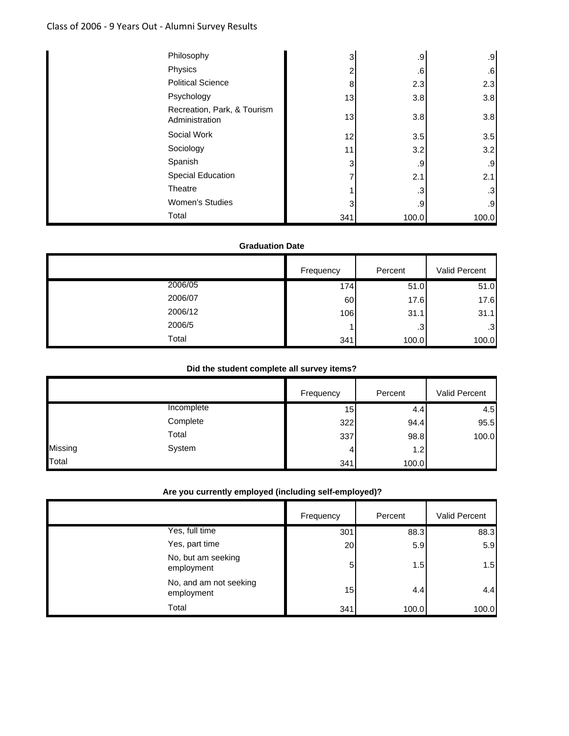### Class of 2006 ‐ 9 Years Out ‐ Alumni Survey Results

| Philosophy                                    | 3   | .9    | .9    |
|-----------------------------------------------|-----|-------|-------|
| Physics                                       | 2   | .6    | .6    |
| <b>Political Science</b>                      | 8   | 2.3   | 2.3   |
| Psychology                                    | 13  | 3.8   | 3.8   |
| Recreation, Park, & Tourism<br>Administration | 13  | 3.8   | 3.8   |
| Social Work                                   | 12  | 3.5   | 3.5   |
| Sociology                                     | 11  | 3.2   | 3.2   |
| Spanish                                       | 3   | .9    | .9    |
| Special Education                             | 7   | 2.1   | 2.1   |
| Theatre                                       |     | .3    | .3    |
| <b>Women's Studies</b>                        | 3   | .9    | .9    |
| Total                                         | 341 | 100.0 | 100.0 |

#### **Graduation Date**

|         | Frequency | Percent   | Valid Percent   |
|---------|-----------|-----------|-----------------|
| 2006/05 | 174       | 51.0      | 51.0            |
| 2006/07 | 60        | 17.6      | 17.6            |
| 2006/12 | 106       | 31.1      | 31.1            |
| 2006/5  |           | $\cdot$ 3 | .3 <sup>°</sup> |
| Total   | 341       | 100.0     | 100.0           |

#### **Did the student complete all survey items?**

|         |            | Frequency | Percent | Valid Percent |
|---------|------------|-----------|---------|---------------|
|         | Incomplete | 15        | 4.4     | 4.5           |
|         | Complete   | 322       | 94.4    | 95.5          |
|         | Total      | 337       | 98.8    | 100.0         |
| Missing | System     | 4         | 1.2     |               |
| Total   |            | 341       | 100.0   |               |

### **Are you currently employed (including self-employed)?**

|                                      | Frequency | Percent | Valid Percent |
|--------------------------------------|-----------|---------|---------------|
| Yes, full time                       | 301       | 88.3    | 88.3          |
| Yes, part time                       | 20        | 5.9     | 5.9           |
| No, but am seeking<br>employment     | 5         | 1.5     | 1.5           |
| No, and am not seeking<br>employment | 15        | 4.4     | 4.4           |
| Total                                | 341       | 100.0   | 100.0         |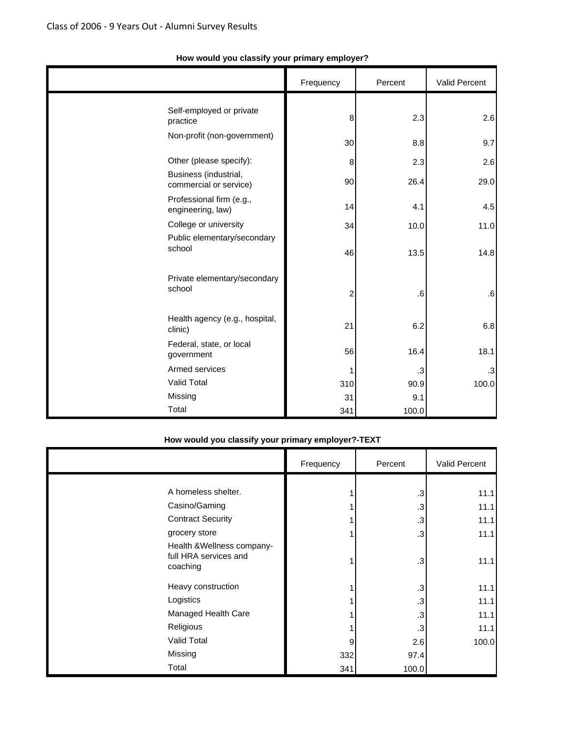|                |                                                 | Frequency      | Percent   | Valid Percent |
|----------------|-------------------------------------------------|----------------|-----------|---------------|
| practice       | Self-employed or private                        | 8              | 2.3       | 2.6           |
|                | Non-profit (non-government)                     | 30             | 8.8       | 9.7           |
|                | Other (please specify):                         | 8              | 2.3       | 2.6           |
|                | Business (industrial,<br>commercial or service) | 90             | 26.4      | 29.0          |
|                | Professional firm (e.g.,<br>engineering, law)   | 14             | 4.1       | 4.5           |
|                | College or university                           | 34             | 10.0      | 11.0          |
| school         | Public elementary/secondary                     | 46             | 13.5      | 14.8          |
| school         | Private elementary/secondary                    | $\overline{c}$ | $\cdot 6$ | .6            |
| clinic)        | Health agency (e.g., hospital,                  | 21             | 6.2       | 6.8           |
| government     | Federal, state, or local                        | 56             | 16.4      | 18.1          |
| Armed services |                                                 | 1              | $\cdot$ 3 | .3            |
| Valid Total    |                                                 | 310            | 90.9      | 100.0         |
| Missing        |                                                 | 31             | 9.1       |               |
| Total          |                                                 | 341            | 100.0     |               |

### **How would you classify your primary employer?**

### **How would you classify your primary employer?-TEXT**

|                                                                 | Frequency | Percent   | Valid Percent |
|-----------------------------------------------------------------|-----------|-----------|---------------|
|                                                                 |           |           |               |
| A homeless shelter.                                             |           | $\cdot$ 3 | 11.1          |
| Casino/Gaming                                                   |           | $\cdot$ 3 | 11.1          |
| <b>Contract Security</b>                                        |           | $\cdot$ 3 | 11.1          |
| grocery store                                                   |           | $\cdot$ 3 | 11.1          |
| Health & Wellness company-<br>full HRA services and<br>coaching |           | .3        | 11.1          |
| Heavy construction                                              |           | $\cdot$ 3 | 11.1          |
| Logistics                                                       |           | $\cdot$ 3 | 11.1          |
| Managed Health Care                                             |           | $\cdot$ 3 | 11.1          |
| Religious                                                       |           | .3        | 11.1          |
| Valid Total                                                     | 9         | 2.6       | 100.0         |
| Missing                                                         | 332       | 97.4      |               |
| Total                                                           | 341       | 100.0     |               |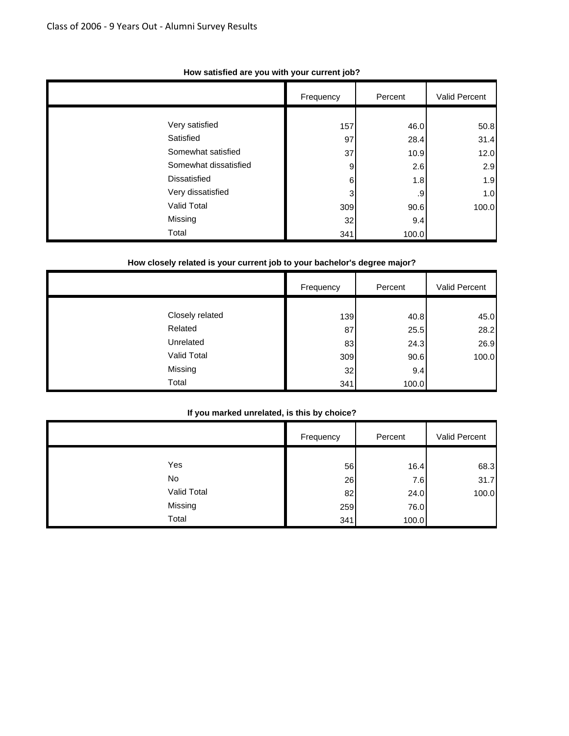|                       | Frequency | Percent | Valid Percent |
|-----------------------|-----------|---------|---------------|
|                       |           |         |               |
| Very satisfied        | 157       | 46.0    | 50.8          |
| Satisfied             | 97        | 28.4    | 31.4          |
| Somewhat satisfied    | 37        | 10.9    | 12.0          |
| Somewhat dissatisfied | 9         | 2.6     | 2.9           |
| <b>Dissatisfied</b>   | 6         | 1.8     | 1.9           |
| Very dissatisfied     | 3         | .9      | 1.0           |
| Valid Total           | 309       | 90.6    | 100.0         |
| Missing               | 32        | 9.4     |               |
| Total                 | 341       | 100.0   |               |

#### **How satisfied are you with your current job?**

### **How closely related is your current job to your bachelor's degree major?**

|                 | Frequency | Percent | Valid Percent |
|-----------------|-----------|---------|---------------|
|                 |           |         |               |
| Closely related | 139       | 40.8    | 45.0          |
| Related         | 87        | 25.5    | 28.2          |
| Unrelated       | 83        | 24.3    | 26.9          |
| Valid Total     | 309       | 90.6    | 100.0         |
| Missing         | 32        | 9.4     |               |
| Total           | 341       | 100.0   |               |

#### **If you marked unrelated, is this by choice?**

|             | Frequency | Percent | Valid Percent |
|-------------|-----------|---------|---------------|
| Yes         | 56        | 16.4    | 68.3          |
| No          | 26        | 7.6     | 31.7          |
| Valid Total | 82        | 24.0    | 100.0         |
| Missing     | 259       | 76.0    |               |
| Total       | 341       | 100.0   |               |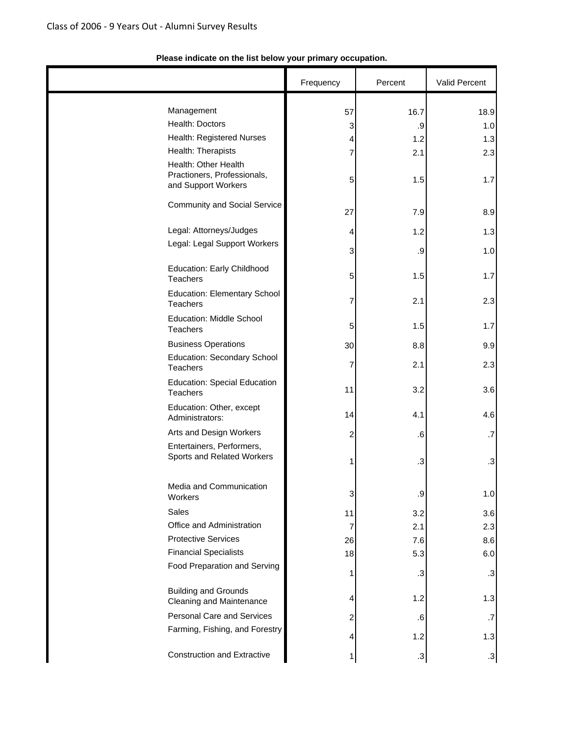|                                                                            | Frequency               | Percent | Valid Percent |
|----------------------------------------------------------------------------|-------------------------|---------|---------------|
| Management                                                                 | 57                      | 16.7    | 18.9          |
| Health: Doctors                                                            | $\mathbf{3}$            | $.9\,$  | 1.0           |
| Health: Registered Nurses                                                  | $\overline{\mathbf{4}}$ | 1.2     | 1.3           |
| Health: Therapists                                                         | 7                       | 2.1     | 2.3           |
| Health: Other Health<br>Practioners, Professionals,<br>and Support Workers | 5                       | 1.5     | 1.7           |
| Community and Social Service                                               | 27                      | 7.9     | 8.9           |
| Legal: Attorneys/Judges                                                    | 4                       | 1.2     | 1.3           |
| Legal: Legal Support Workers                                               |                         |         |               |
|                                                                            | 3                       | .9      | 1.0           |
| Education: Early Childhood<br><b>Teachers</b>                              | 5                       | 1.5     | 1.7           |
| <b>Education: Elementary School</b><br>Teachers                            | 7                       | 2.1     | 2.3           |
| <b>Education: Middle School</b><br>Teachers                                | 5                       | 1.5     | 1.7           |
| <b>Business Operations</b>                                                 | 30                      | 8.8     | 9.9           |
| <b>Education: Secondary School</b><br><b>Teachers</b>                      | 7                       | 2.1     | 2.3           |
| <b>Education: Special Education</b><br>Teachers                            | 11                      | 3.2     | 3.6           |
| Education: Other, except<br>Administrators:                                | 14                      | 4.1     | 4.6           |
| Arts and Design Workers                                                    | 2                       | .6      | .7            |
| Entertainers, Performers,<br>Sports and Related Workers                    | 1                       | $\cdot$ | .3            |
| Media and Communication<br>Workers                                         | 3                       | .9      | 1.0           |
| Sales                                                                      | 11                      | 3.2     | 3.6           |
| Office and Administration                                                  | $\overline{7}$          | 2.1     | 2.3           |
| <b>Protective Services</b>                                                 | 26                      | 7.6     | 8.6           |
| <b>Financial Specialists</b>                                               | 18                      | 5.3     | 6.0           |
| Food Preparation and Serving                                               | 1                       | .3      | $\cdot$ 3     |
| <b>Building and Grounds</b><br>Cleaning and Maintenance                    | 4                       | 1.2     | 1.3           |
| <b>Personal Care and Services</b>                                          | $\overline{\mathbf{c}}$ | .6      | .7            |
| Farming, Fishing, and Forestry                                             | $\overline{\mathbf{r}}$ | 1.2     | 1.3           |
| <b>Construction and Extractive</b>                                         | 1                       | $\cdot$ | $.3\,$        |

### **Please indicate on the list below your primary occupation.**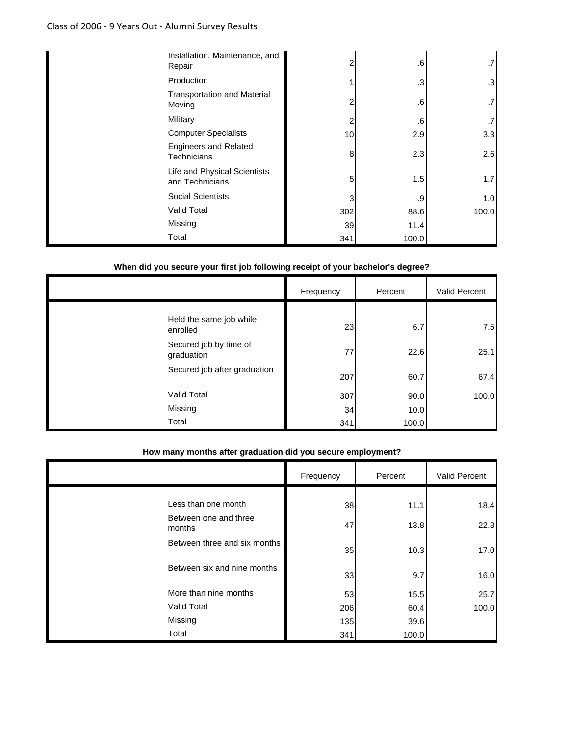## Class of 2006 ‐ 9 Years Out ‐ Alumni Survey Results

| Installation, Maintenance, and<br>Repair        | 2   | .6             | .7    |
|-------------------------------------------------|-----|----------------|-------|
| Production                                      |     | 3 <sup>1</sup> | .3    |
| <b>Transportation and Material</b><br>Moving    | 2   | .6             | .7    |
| Military                                        | 2   | .6             | .7    |
| <b>Computer Specialists</b>                     | 10  | 2.9            | 3.3   |
| <b>Engineers and Related</b><br>Technicians     | 8   | 2.3            | 2.6   |
| Life and Physical Scientists<br>and Technicians | 5   | 1.5            | 1.7   |
| <b>Social Scientists</b>                        | 3   | .9             | 1.0   |
| <b>Valid Total</b>                              | 302 | 88.6           | 100.0 |
| Missing                                         | 39  | 11.4           |       |
| Total                                           | 341 | 100.0          |       |

### **When did you secure your first job following receipt of your bachelor's degree?**

|                                      | Frequency | Percent | Valid Percent |
|--------------------------------------|-----------|---------|---------------|
| Held the same job while              |           |         |               |
| enrolled                             | 23        | 6.7     | 7.5           |
| Secured job by time of<br>graduation | 77        | 22.6    | 25.1          |
| Secured job after graduation         | 207       | 60.7    | 67.4          |
| <b>Valid Total</b>                   | 307       | 90.0    | 100.0         |
| Missing                              | 34        | 10.0    |               |
| Total                                | 341       | 100.0   |               |

#### **How many months after graduation did you secure employment?**

|                                 | Frequency | Percent | Valid Percent |
|---------------------------------|-----------|---------|---------------|
|                                 |           |         |               |
| Less than one month             | 38        | 11.1    | 18.4          |
| Between one and three<br>months | 47        | 13.8    | 22.8          |
| Between three and six months    | 35        | 10.3    | 17.0          |
| Between six and nine months     | 33        | 9.7     | 16.0          |
| More than nine months           | 53        | 15.5    | 25.7          |
| Valid Total                     | 206       | 60.4    | 100.0         |
| Missing                         | 135       | 39.6    |               |
| Total                           | 341       | 100.0   |               |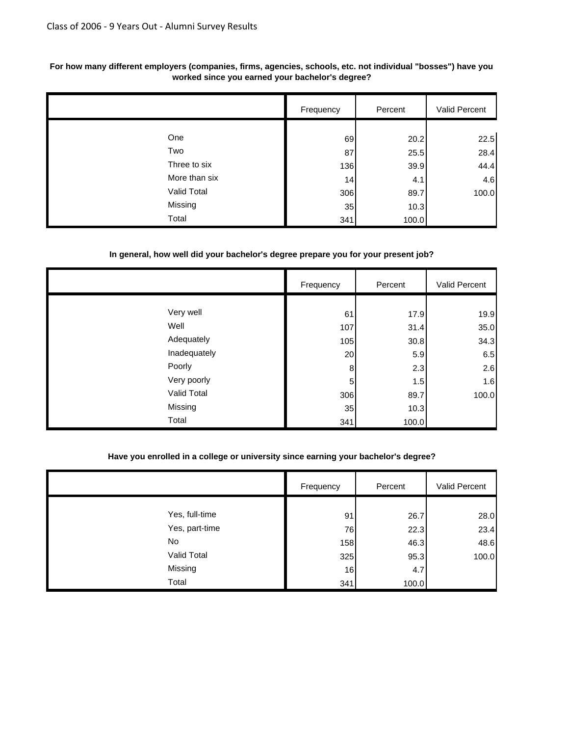|               | Frequency | Percent | Valid Percent |
|---------------|-----------|---------|---------------|
|               |           |         |               |
| One           | 69        | 20.2    | 22.5          |
| Two           | 87        | 25.5    | 28.4          |
| Three to six  | 136       | 39.9    | 44.4          |
| More than six | 14        | 4.1     | 4.6           |
| Valid Total   | 306       | 89.7    | 100.0         |
| Missing       | 35        | 10.3    |               |
| Total         | 341       | 100.0   |               |

#### **For how many different employers (companies, firms, agencies, schools, etc. not individual "bosses") have you worked since you earned your bachelor's degree?**

#### **In general, how well did your bachelor's degree prepare you for your present job?**

|              | Frequency | Percent | Valid Percent |
|--------------|-----------|---------|---------------|
|              |           |         |               |
| Very well    | 61        | 17.9    | 19.9          |
| Well         | 107       | 31.4    | 35.0          |
| Adequately   | 105       | 30.8    | 34.3          |
| Inadequately | 20        | 5.9     | 6.5           |
| Poorly       | 8         | 2.3     | 2.6           |
| Very poorly  | 5         | 1.5     | 1.6           |
| Valid Total  | 306       | 89.7    | 100.0         |
| Missing      | 35        | 10.3    |               |
| Total        | 341       | 100.0   |               |

#### **Have you enrolled in a college or university since earning your bachelor's degree?**

|                | Frequency | Percent | Valid Percent |
|----------------|-----------|---------|---------------|
|                |           |         |               |
| Yes, full-time | 91        | 26.7    | 28.0          |
| Yes, part-time | 76        | 22.3    | 23.4          |
| No             | 158       | 46.3    | 48.6          |
| Valid Total    | 325       | 95.3    | 100.0         |
| Missing        | 16        | 4.7     |               |
| Total          | 341       | 100.0   |               |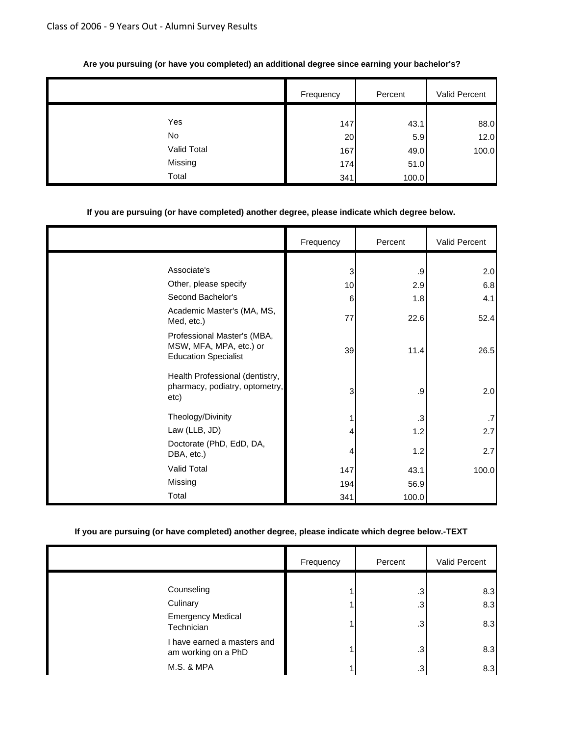|             | Frequency | Percent | Valid Percent |
|-------------|-----------|---------|---------------|
| Yes         | 147       | 43.1    | 88.0          |
| No          | 20        | 5.9     | 12.0          |
| Valid Total | 167       | 49.0    | 100.0         |
| Missing     | 174       | 51.0    |               |
| Total       | 341       | 100.0   |               |

#### **Are you pursuing (or have you completed) an additional degree since earning your bachelor's?**

#### **If you are pursuing (or have completed) another degree, please indicate which degree below.**

|                                                                                       | Frequency | Percent           | Valid Percent |
|---------------------------------------------------------------------------------------|-----------|-------------------|---------------|
|                                                                                       |           |                   |               |
| Associate's                                                                           | 3         | .9                | 2.0           |
| Other, please specify                                                                 | 10        | 2.9               | 6.8           |
| Second Bachelor's                                                                     | 6         | 1.8               | 4.1           |
| Academic Master's (MA, MS,<br>Med, etc.)                                              | 77        | 22.6              | 52.4          |
| Professional Master's (MBA,<br>MSW, MFA, MPA, etc.) or<br><b>Education Specialist</b> | 39        | 11.4              | 26.5          |
| Health Professional (dentistry,<br>pharmacy, podiatry, optometry,<br>etc)             | 3         | .9                | 2.0           |
| Theology/Divinity                                                                     |           | $\boldsymbol{.3}$ | .7            |
| Law (LLB, JD)                                                                         | 4         | 1.2               | 2.7           |
| Doctorate (PhD, EdD, DA,<br>DBA, etc.)                                                | 4         | 1.2               | 2.7           |
| Valid Total                                                                           | 147       | 43.1              | 100.0         |
| Missing                                                                               | 194       | 56.9              |               |
| Total                                                                                 | 341       | 100.0             |               |

### **If you are pursuing (or have completed) another degree, please indicate which degree below.-TEXT**

|                                                    | Frequency | Percent | Valid Percent |
|----------------------------------------------------|-----------|---------|---------------|
|                                                    |           |         |               |
| Counseling                                         |           | .3      | 8.3           |
| Culinary                                           |           | .3      | 8.3           |
| <b>Emergency Medical</b><br>Technician             |           | .3      | 8.3           |
| I have earned a masters and<br>am working on a PhD |           | $.3\,$  | 8.3           |
| <b>M.S. &amp; MPA</b>                              |           | .3      | 8.3           |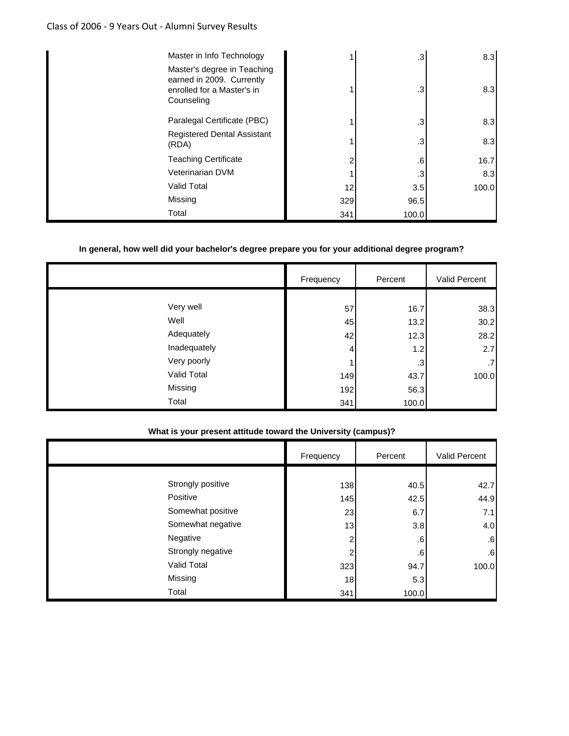### Class of 2006 ‐ 9 Years Out ‐ Alumni Survey Results

| Master in Info Technology                                                                            |     | .3    | 8.3   |
|------------------------------------------------------------------------------------------------------|-----|-------|-------|
| Master's degree in Teaching<br>earned in 2009. Currently<br>enrolled for a Master's in<br>Counseling |     | .3    | 8.3   |
| Paralegal Certificate (PBC)                                                                          |     | .3    | 8.3   |
| <b>Registered Dental Assistant</b><br>(RDA)                                                          |     | .3    | 8.3   |
| <b>Teaching Certificate</b>                                                                          | 2   | .6    | 16.7  |
| Veterinarian DVM                                                                                     |     | .3    | 8.3   |
| <b>Valid Total</b>                                                                                   | 12  | 3.5   | 100.0 |
| Missing                                                                                              | 329 | 96.5  |       |
| Total                                                                                                | 341 | 100.0 |       |

#### **In general, how well did your bachelor's degree prepare you for your additional degree program?**

|              | Frequency | Percent | Valid Percent |
|--------------|-----------|---------|---------------|
|              |           |         |               |
| Very well    | 57        | 16.7    | 38.3          |
| Well         | 45        | 13.2    | 30.2          |
| Adequately   | 42        | 12.3    | 28.2          |
| Inadequately | 4         | 1.2     | 2.7           |
| Very poorly  |           | .3      | .7            |
| Valid Total  | 149       | 43.7    | 100.0         |
| Missing      | 192       | 56.3    |               |
| Total        | 341       | 100.0   |               |

#### **What is your present attitude toward the University (campus)?**

|                   | Frequency | Percent         | <b>Valid Percent</b> |
|-------------------|-----------|-----------------|----------------------|
|                   |           |                 |                      |
| Strongly positive | 138       | 40.5            | 42.7                 |
| Positive          | 145       | 42.5            | 44.9                 |
| Somewhat positive | 23        | 6.7             | 7.1                  |
| Somewhat negative | 13        | 3.8             | 4.0                  |
| Negative          | 2         | .6 <sup>1</sup> | .6                   |
| Strongly negative | ົ         | .6              | .6                   |
| Valid Total       | 323       | 94.7            | 100.0                |
| Missing           | 18        | 5.3             |                      |
| Total             | 341       | 100.0           |                      |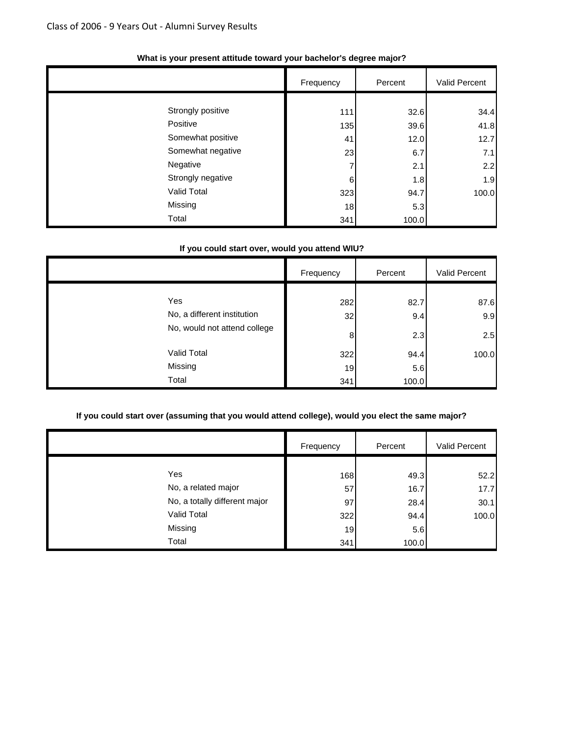|                   | Frequency | Percent | Valid Percent |
|-------------------|-----------|---------|---------------|
|                   |           |         |               |
| Strongly positive | 111       | 32.6    | 34.4          |
| Positive          | 135       | 39.6    | 41.8          |
| Somewhat positive | 41        | 12.0    | 12.7          |
| Somewhat negative | 23        | 6.7     | 7.1           |
| Negative          | 7         | 2.1     | 2.2           |
| Strongly negative | 6         | 1.8     | 1.9           |
| Valid Total       | 323       | 94.7    | 100.0         |
| Missing           | 18        | 5.3     |               |
| Total             | 341       | 100.0   |               |

#### **What is your present attitude toward your bachelor's degree major?**

#### **If you could start over, would you attend WIU?**

|                                    | Frequency | Percent     | Valid Percent |
|------------------------------------|-----------|-------------|---------------|
| Yes<br>No, a different institution | 282<br>32 | 82.7<br>9.4 | 87.6<br>9.9   |
| No, would not attend college       | 8         | 2.3         | 2.5           |
| <b>Valid Total</b><br>Missing      | 322<br>19 | 94.4<br>5.6 | 100.0         |
| Total                              | 341       | 100.0       |               |

#### **If you could start over (assuming that you would attend college), would you elect the same major?**

|                               | Frequency | Percent | Valid Percent |
|-------------------------------|-----------|---------|---------------|
|                               |           |         |               |
| Yes                           | 168       | 49.3    | 52.2          |
| No, a related major           | 57        | 16.7    | 17.7          |
| No, a totally different major | 97        | 28.4    | 30.1          |
| Valid Total                   | 322       | 94.4    | 100.0         |
| Missing                       | 19        | 5.6     |               |
| Total                         | 341       | 100.0   |               |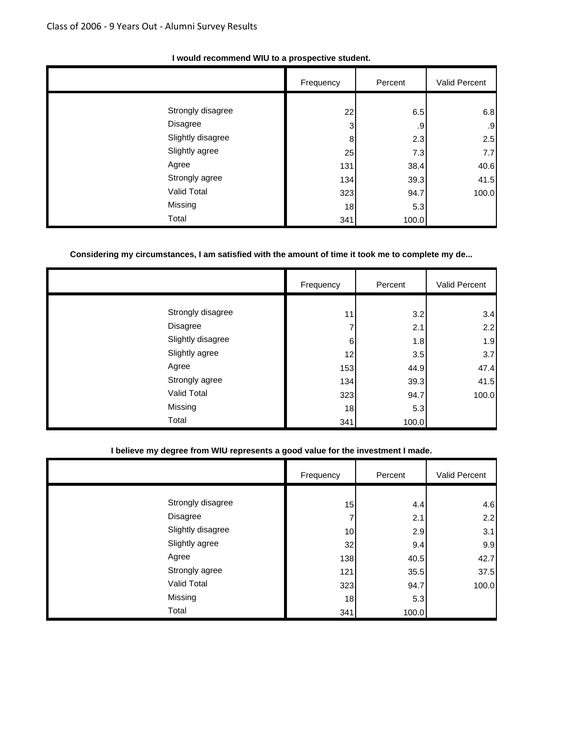|                   | Frequency | Percent | Valid Percent |
|-------------------|-----------|---------|---------------|
|                   |           |         |               |
| Strongly disagree | 22        | 6.5     | 6.8           |
| Disagree          | 3         | .9      | .9            |
| Slightly disagree | 8         | 2.3     | 2.5           |
| Slightly agree    | 25        | 7.3     | 7.7           |
| Agree             | 131       | 38.4    | 40.6          |
| Strongly agree    | 134       | 39.3    | 41.5          |
| Valid Total       | 323       | 94.7    | 100.0         |
| Missing           | 18        | 5.3     |               |
| Total             | 341       | 100.0   |               |

#### **I would recommend WIU to a prospective student.**

#### **Considering my circumstances, I am satisfied with the amount of time it took me to complete my de...**

|                   | Frequency | Percent | Valid Percent |
|-------------------|-----------|---------|---------------|
|                   |           |         |               |
| Strongly disagree | 11        | 3.2     | 3.4           |
| Disagree          |           | 2.1     | 2.2           |
| Slightly disagree | 6         | 1.8     | 1.9           |
| Slightly agree    | 12        | 3.5     | 3.7           |
| Agree             | 153       | 44.9    | 47.4          |
| Strongly agree    | 134       | 39.3    | 41.5          |
| Valid Total       | 323       | 94.7    | 100.0         |
| Missing           | 18        | 5.3     |               |
| Total             | 341       | 100.0   |               |

### **I believe my degree from WIU represents a good value for the investment I made.**

|                   | Frequency | Percent | Valid Percent |
|-------------------|-----------|---------|---------------|
|                   |           |         |               |
| Strongly disagree | 15        | 4.4     | 4.6           |
| Disagree          | 7         | 2.1     | 2.2           |
| Slightly disagree | 10        | 2.9     | 3.1           |
| Slightly agree    | 32        | 9.4     | 9.9           |
| Agree             | 138       | 40.5    | 42.7          |
| Strongly agree    | 121       | 35.5    | 37.5          |
| Valid Total       | 323       | 94.7    | 100.0         |
| Missing           | 18        | 5.3     |               |
| Total             | 341       | 100.0   |               |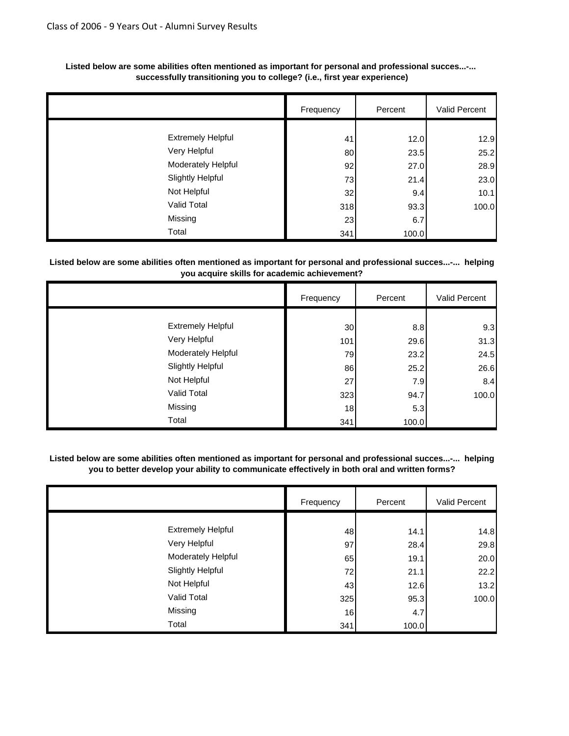|                          | Frequency | Percent | Valid Percent |
|--------------------------|-----------|---------|---------------|
|                          |           |         |               |
| <b>Extremely Helpful</b> | 41        | 12.0    | 12.9          |
| Very Helpful             | 80        | 23.5    | 25.2          |
| Moderately Helpful       | 92        | 27.0    | 28.9          |
| <b>Slightly Helpful</b>  | 73        | 21.4    | 23.0          |
| Not Helpful              | 32        | 9.4     | 10.1          |
| Valid Total              | 318       | 93.3    | 100.0         |
| Missing                  | 23        | 6.7     |               |
| Total                    | 341       | 100.0   |               |

#### **Listed below are some abilities often mentioned as important for personal and professional succes...-... successfully transitioning you to college? (i.e., first year experience)**

#### **Listed below are some abilities often mentioned as important for personal and professional succes...-... helping you acquire skills for academic achievement?**

|                          | Frequency       | Percent | Valid Percent |
|--------------------------|-----------------|---------|---------------|
|                          |                 |         |               |
| <b>Extremely Helpful</b> | 30 <sup>°</sup> | 8.8     | 9.3           |
| Very Helpful             | 101             | 29.6    | 31.3          |
| Moderately Helpful       | 79              | 23.2    | 24.5          |
| <b>Slightly Helpful</b>  | 86              | 25.2    | 26.6          |
| Not Helpful              | 27              | 7.9     | 8.4           |
| Valid Total              | 323             | 94.7    | 100.0         |
| Missing                  | 18              | 5.3     |               |
| Total                    | 341             | 100.0   |               |

**Listed below are some abilities often mentioned as important for personal and professional succes...-... helping you to better develop your ability to communicate effectively in both oral and written forms?**

|                          | Frequency | Percent | Valid Percent |
|--------------------------|-----------|---------|---------------|
|                          |           |         |               |
| <b>Extremely Helpful</b> | 48        | 14.1    | 14.8          |
| Very Helpful             | 97        | 28.4    | 29.8          |
| Moderately Helpful       | 65        | 19.1    | 20.0          |
| <b>Slightly Helpful</b>  | 72        | 21.1    | 22.2          |
| Not Helpful              | 43        | 12.6    | 13.2          |
| Valid Total              | 325       | 95.3    | 100.0         |
| Missing                  | 16        | 4.7     |               |
| Total                    | 341       | 100.0   |               |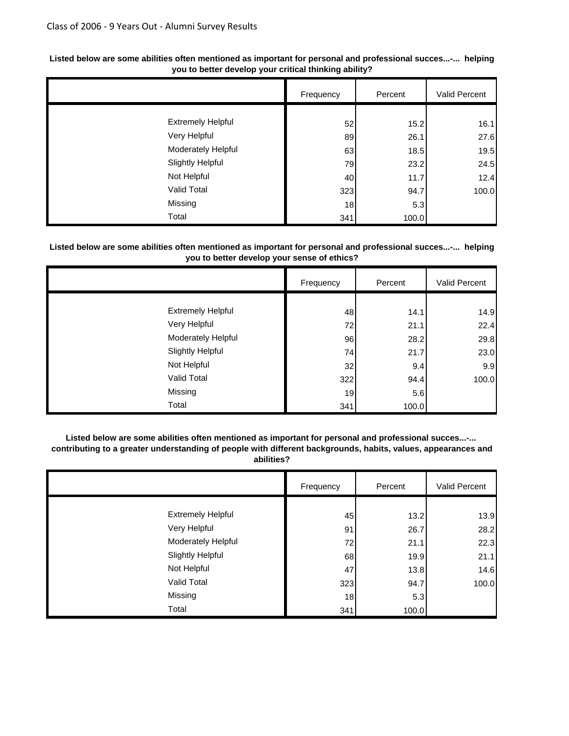|                          | Frequency | Percent | Valid Percent |
|--------------------------|-----------|---------|---------------|
|                          |           |         |               |
| <b>Extremely Helpful</b> | 52        | 15.2    | 16.1          |
| Very Helpful             | 89        | 26.1    | 27.6          |
| Moderately Helpful       | 63        | 18.5    | 19.5          |
| <b>Slightly Helpful</b>  | 79        | 23.2    | 24.5          |
| Not Helpful              | 40        | 11.7    | 12.4          |
| Valid Total              | 323       | 94.7    | 100.0         |
| Missing                  | 18        | 5.3     |               |
| Total                    | 341       | 100.0   |               |

#### **Listed below are some abilities often mentioned as important for personal and professional succes...-... helping you to better develop your critical thinking ability?**

#### **Listed below are some abilities often mentioned as important for personal and professional succes...-... helping you to better develop your sense of ethics?**

|                          | Frequency | Percent | Valid Percent |
|--------------------------|-----------|---------|---------------|
|                          |           |         |               |
| <b>Extremely Helpful</b> | 48        | 14.1    | 14.9          |
| Very Helpful             | 72        | 21.1    | 22.4          |
| Moderately Helpful       | 96        | 28.2    | 29.8          |
| <b>Slightly Helpful</b>  | 74        | 21.7    | 23.0          |
| Not Helpful              | 32        | 9.4     | 9.9           |
| Valid Total              | 322       | 94.4    | 100.0         |
| Missing                  | 19        | 5.6     |               |
| Total                    | 341       | 100.0   |               |

### **Listed below are some abilities often mentioned as important for personal and professional succes...-...**

 **contributing to a greater understanding of people with different backgrounds, habits, values, appearances and abilities?**

|                          | Frequency | Percent | Valid Percent |
|--------------------------|-----------|---------|---------------|
|                          |           |         |               |
| <b>Extremely Helpful</b> | 45        | 13.2    | 13.9          |
| Very Helpful             | 91        | 26.7    | 28.2          |
| Moderately Helpful       | 72        | 21.1    | 22.3          |
| <b>Slightly Helpful</b>  | 68        | 19.9    | 21.1          |
| Not Helpful              | 47        | 13.8    | 14.6          |
| Valid Total              | 323       | 94.7    | 100.0         |
| Missing                  | 18        | 5.3     |               |
| Total                    | 341       | 100.0   |               |